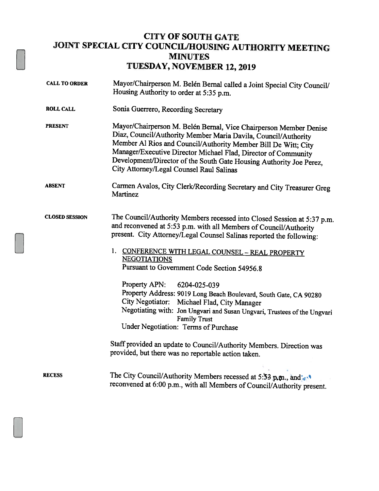## CITY OF SOUTH GATE JOINT SPECIAL CITY COUNCIL/HOUSING AUTHORITY MEETING MINUTES TUESDAY, NOVEMBER 12, 2019

| <b>CALL TO ORDER</b>  | Mayor/Chairperson M. Belén Bernal called a Joint Special City Council/<br>Housing Authority to order at 5:35 p.m.                                                                                                                                                                                                                                                                          |
|-----------------------|--------------------------------------------------------------------------------------------------------------------------------------------------------------------------------------------------------------------------------------------------------------------------------------------------------------------------------------------------------------------------------------------|
| <b>ROLL CALL</b>      | Sonia Guerrero, Recording Secretary                                                                                                                                                                                                                                                                                                                                                        |
| <b>PRESENT</b>        | Mayor/Chairperson M. Belén Bernal, Vice Chairperson Member Denise<br>Diaz, Council/Authority Member Maria Davila, Council/Authority<br>Member Al Rios and Council/Authority Member Bill De Witt; City<br>Manager/Executive Director Michael Flad, Director of Community<br>Development/Director of the South Gate Housing Authority Joe Perez,<br>City Attorney/Legal Counsel Raul Salinas |
| <b>ABSENT</b>         | Carmen Avalos, City Clerk/Recording Secretary and City Treasurer Greg<br>Martinez                                                                                                                                                                                                                                                                                                          |
| <b>CLOSED SESSION</b> | The Council/Authority Members recessed into Closed Session at 5:37 p.m.<br>and reconvened at 5:53 p.m. with all Members of Council/Authority<br>present. City Attorney/Legal Counsel Salinas reported the following:<br>1. CONFERENCE WITH LEGAL COUNSEL - REAL PROPERTY<br><b>NEGOTIATIONS</b>                                                                                            |
|                       | Pursuant to Government Code Section 54956.8                                                                                                                                                                                                                                                                                                                                                |
|                       | Property APN:<br>6204-025-039                                                                                                                                                                                                                                                                                                                                                              |
|                       | Property Address: 9019 Long Beach Boulevard, South Gate, CA 90280<br>City Negotiator: Michael Flad, City Manager                                                                                                                                                                                                                                                                           |
|                       | Negotiating with: Jon Ungvari and Susan Ungvari, Trustees of the Ungvari<br><b>Family Trust</b>                                                                                                                                                                                                                                                                                            |
|                       | Under Negotiation: Terms of Purchase                                                                                                                                                                                                                                                                                                                                                       |
|                       | Staff provided an update to Council/Authority Members. Direction was<br>provided, but there was no reportable action taken.                                                                                                                                                                                                                                                                |
| <b>RECESS</b>         | The City Council/Authority Members recessed at 5:53 p <sub>r</sub> m., and w <sup>1</sup><br>reconvened at 6:00 p.m., with all Members of Council/Authority present.                                                                                                                                                                                                                       |